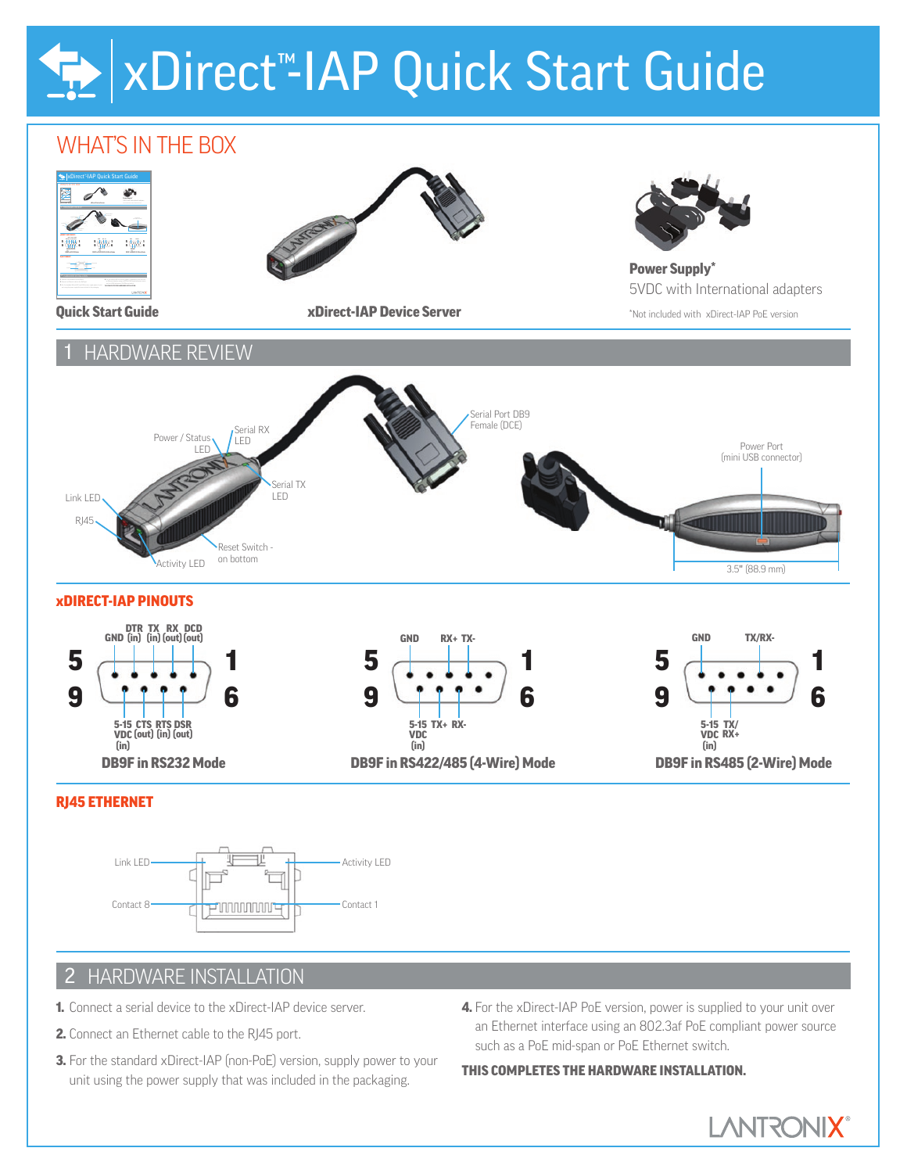# xDirect<sup>™</sup>-IAP Quick Start Guide

## WHAT'S In THE BOX



## 2 HARDWARE InSTALLATIOn

- 1. Connect a serial device to the xDirect-IAP device server.
- 2. Connect an Ethernet cable to the RJ45 port.
- 3. For the standard xDirect-IAP (non-PoE) version, supply power to your unit using the power supply that was included in the packaging.
- 4. For the xDirect-IAP PoE version, power is supplied to your unit over an Ethernet interface using an 802.3af PoE compliant power source such as a PoE mid-span or PoE Ethernet switch.

#### THIS COMPLETES THE HARDWARE INSTALLATION.